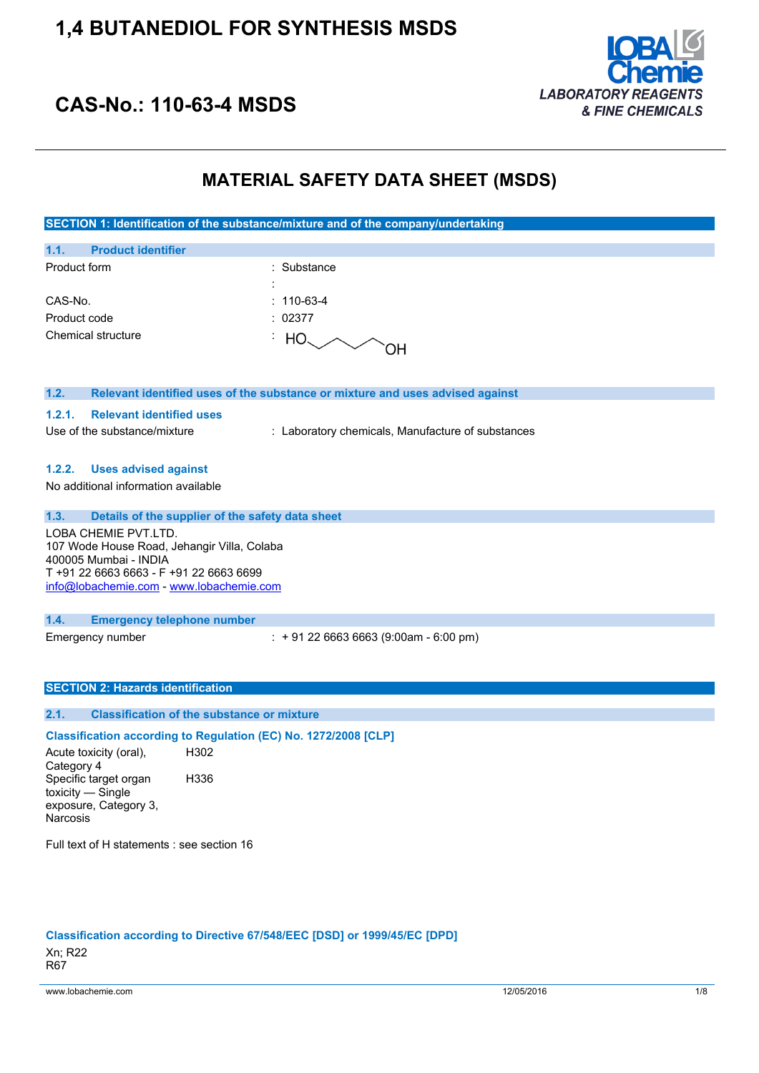### **1,4 BUTANEDIOL FOR SYNTHESIS MSDS**



## **CAS-No.: 110-63-4 MSDS**

### **MATERIAL SAFETY DATA SHEET (MSDS)**

**SECTION 1: Identification of the substance/mixture and of the company/undertaking**

| <b>Product identifier</b><br>1.1. |                     |
|-----------------------------------|---------------------|
| Product form                      | : Substance         |
|                                   | ٠<br>$\blacksquare$ |
| CAS-No.                           | $: 110 - 63 - 4$    |
| Product code                      | : 02377             |
| Chemical structure                | $H_0 \sim 1$        |

| 1.2. |                                 | Relevant identified uses of the substance or mixture and uses advised against |
|------|---------------------------------|-------------------------------------------------------------------------------|
|      | 1.2.1. Relevant identified uses |                                                                               |
|      | Use of the substance/mixture    | : Laboratory chemicals, Manufacture of substances                             |

### **1.2.2. Uses advised against**

No additional information available

#### **1.3. Details of the supplier of the safety data sheet**

LOBA CHEMIE PVT.LTD. 107 Wode House Road, Jehangir Villa, Colaba 400005 Mumbai - INDIA T +91 22 6663 6663 - F +91 22 6663 6699 [info@lobachemie.com](mailto:info@lobachemie.com) - <www.lobachemie.com>

#### **1.4. Emergency telephone number**

Emergency number : + 91 22 6663 6663 (9:00am - 6:00 pm)

#### **SECTION 2: Hazards identification**

#### **2.1. Classification of the substance or mixture**

### **Classification according to Regulation (EC) No. 1272/2008 [CLP]**

Acute toxicity (oral), Category 4 H302 Specific target organ toxicity — Single exposure, Category 3, Narcosis H336

Full text of H statements : see section 16

### **Classification according to Directive 67/548/EEC [DSD] or 1999/45/EC [DPD]**

Xn; R22 R67

www.lobachemie.com 12/05/2016 1/8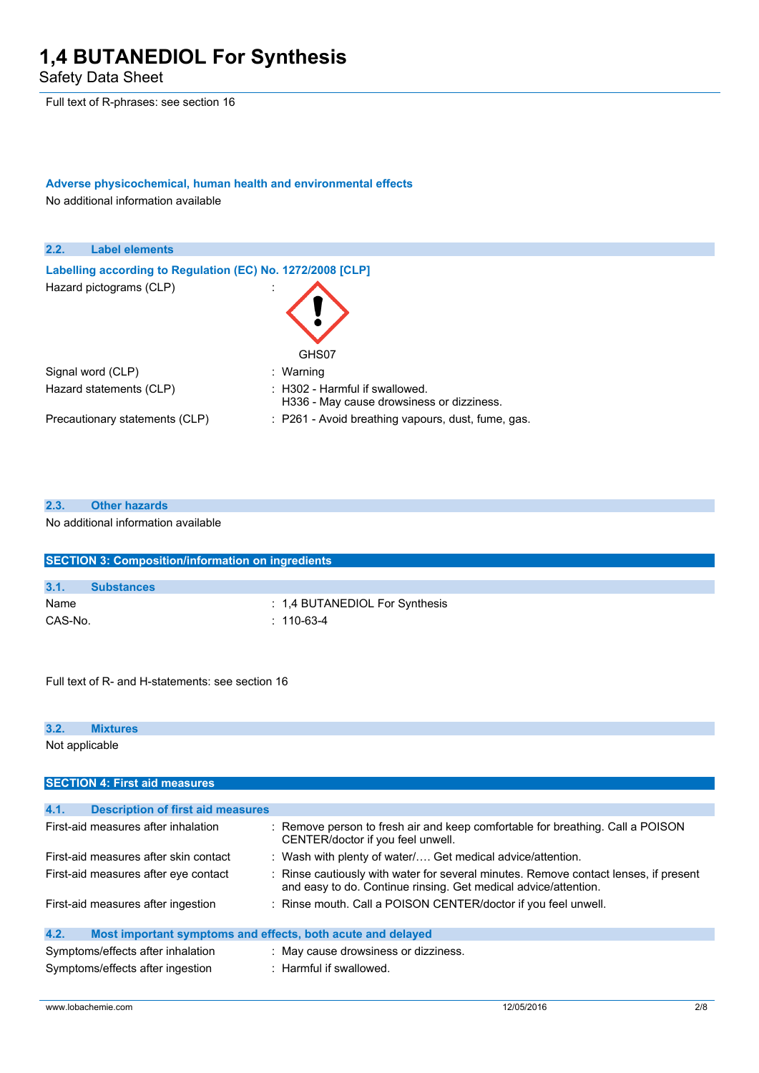Safety Data Sheet

Full text of R-phrases: see section 16

### **Adverse physicochemical, human health and environmental effects**

No additional information available



| 2.3. | <b>Other hazards</b>                |
|------|-------------------------------------|
|      | No additional information available |

|         | <b>SECTION 3: Composition/information on ingredients</b> |
|---------|----------------------------------------------------------|
|         |                                                          |
| 3.1.    | <b>Substances</b>                                        |
| Name    | : 1.4 BUTANEDIOL For Synthesis                           |
| CAS-No. | $: 110-63-4$                                             |

Full text of R- and H-statements: see section 16

### **3.2. Mixtures**

Not applicable

| <b>SECTION 4: First aid measures</b>                                |                                                                                                                                                         |
|---------------------------------------------------------------------|---------------------------------------------------------------------------------------------------------------------------------------------------------|
|                                                                     |                                                                                                                                                         |
| 4.1.<br><b>Description of first aid measures</b>                    |                                                                                                                                                         |
| First-aid measures after inhalation                                 | : Remove person to fresh air and keep comfortable for breathing. Call a POISON<br>CENTER/doctor if you feel unwell.                                     |
| First-aid measures after skin contact                               | : Wash with plenty of water/ Get medical advice/attention.                                                                                              |
| First-aid measures after eye contact                                | : Rinse cautiously with water for several minutes. Remove contact lenses, if present<br>and easy to do. Continue rinsing. Get medical advice/attention. |
| First-aid measures after ingestion                                  | : Rinse mouth. Call a POISON CENTER/doctor if you feel unwell.                                                                                          |
| 4.2.<br>Most important symptoms and effects, both acute and delayed |                                                                                                                                                         |
| Symptoms/effects after inhalation                                   | : May cause drowsiness or dizziness.                                                                                                                    |
| Symptoms/effects after ingestion                                    | : Harmful if swallowed.                                                                                                                                 |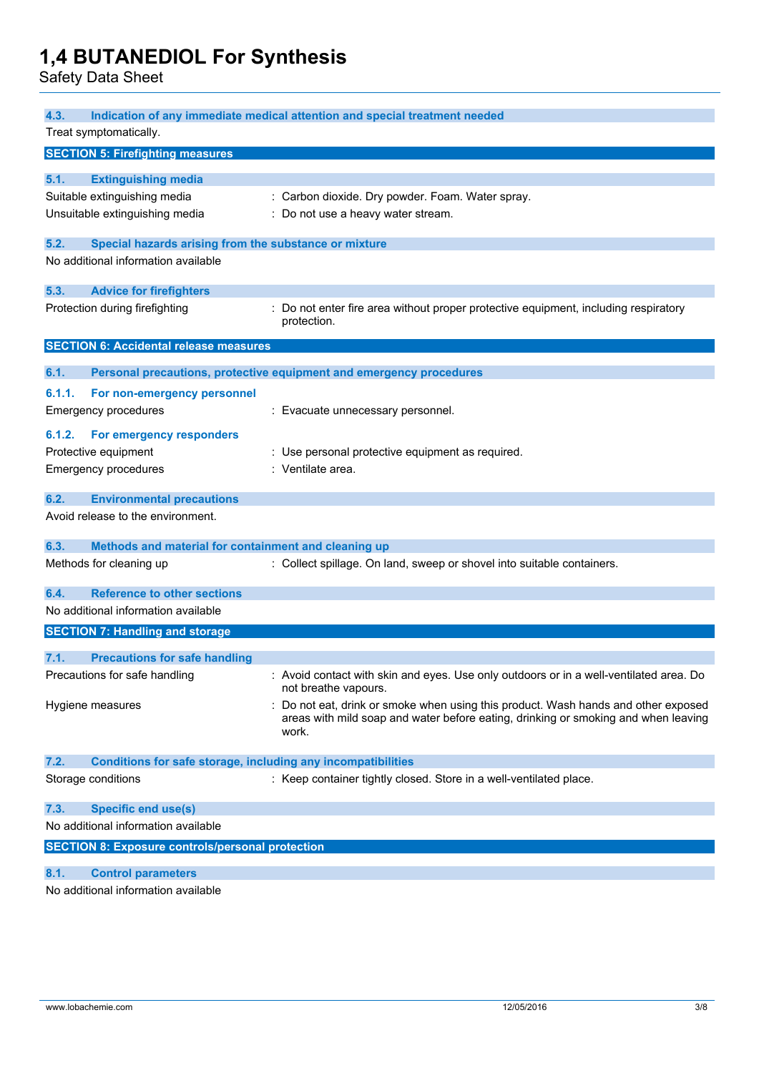Safety Data Sheet

| 4.3.                                                                                                 | Indication of any immediate medical attention and special treatment needed                                                                                                        |
|------------------------------------------------------------------------------------------------------|-----------------------------------------------------------------------------------------------------------------------------------------------------------------------------------|
| Treat symptomatically.                                                                               |                                                                                                                                                                                   |
| <b>SECTION 5: Firefighting measures</b>                                                              |                                                                                                                                                                                   |
| <b>Extinguishing media</b><br>5.1.                                                                   |                                                                                                                                                                                   |
| Suitable extinguishing media                                                                         | : Carbon dioxide. Dry powder. Foam. Water spray.                                                                                                                                  |
| Unsuitable extinguishing media                                                                       | : Do not use a heavy water stream.                                                                                                                                                |
| 5.2.<br>Special hazards arising from the substance or mixture<br>No additional information available |                                                                                                                                                                                   |
| 5.3.<br><b>Advice for firefighters</b>                                                               |                                                                                                                                                                                   |
| Protection during firefighting                                                                       | : Do not enter fire area without proper protective equipment, including respiratory<br>protection.                                                                                |
| <b>SECTION 6: Accidental release measures</b>                                                        |                                                                                                                                                                                   |
| 6.1.                                                                                                 | Personal precautions, protective equipment and emergency procedures                                                                                                               |
| 6.1.1.<br>For non-emergency personnel                                                                |                                                                                                                                                                                   |
| <b>Emergency procedures</b>                                                                          | : Evacuate unnecessary personnel.                                                                                                                                                 |
| 6.1.2.<br>For emergency responders                                                                   |                                                                                                                                                                                   |
| Protective equipment                                                                                 | : Use personal protective equipment as required.                                                                                                                                  |
| <b>Emergency procedures</b>                                                                          | : Ventilate area.                                                                                                                                                                 |
| 6.2.<br><b>Environmental precautions</b>                                                             |                                                                                                                                                                                   |
| Avoid release to the environment.                                                                    |                                                                                                                                                                                   |
| 6.3.<br>Methods and material for containment and cleaning up                                         |                                                                                                                                                                                   |
| Methods for cleaning up                                                                              | : Collect spillage. On land, sweep or shovel into suitable containers.                                                                                                            |
| <b>Reference to other sections</b><br>6.4.                                                           |                                                                                                                                                                                   |
| No additional information available                                                                  |                                                                                                                                                                                   |
| <b>SECTION 7: Handling and storage</b>                                                               |                                                                                                                                                                                   |
| 7.1.<br><b>Precautions for safe handling</b>                                                         |                                                                                                                                                                                   |
| Precautions for safe handling                                                                        | : Avoid contact with skin and eyes. Use only outdoors or in a well-ventilated area. Do<br>not breathe vapours.                                                                    |
| Hygiene measures                                                                                     | : Do not eat, drink or smoke when using this product. Wash hands and other exposed<br>areas with mild soap and water before eating, drinking or smoking and when leaving<br>work. |
| 7.2.<br><b>Conditions for safe storage, including any incompatibilities</b>                          |                                                                                                                                                                                   |
| Storage conditions                                                                                   | : Keep container tightly closed. Store in a well-ventilated place.                                                                                                                |
| 7.3.<br><b>Specific end use(s)</b>                                                                   |                                                                                                                                                                                   |
| No additional information available                                                                  |                                                                                                                                                                                   |
| <b>SECTION 8: Exposure controls/personal protection</b>                                              |                                                                                                                                                                                   |
| 8.1.<br><b>Control parameters</b>                                                                    |                                                                                                                                                                                   |
|                                                                                                      |                                                                                                                                                                                   |

No additional information available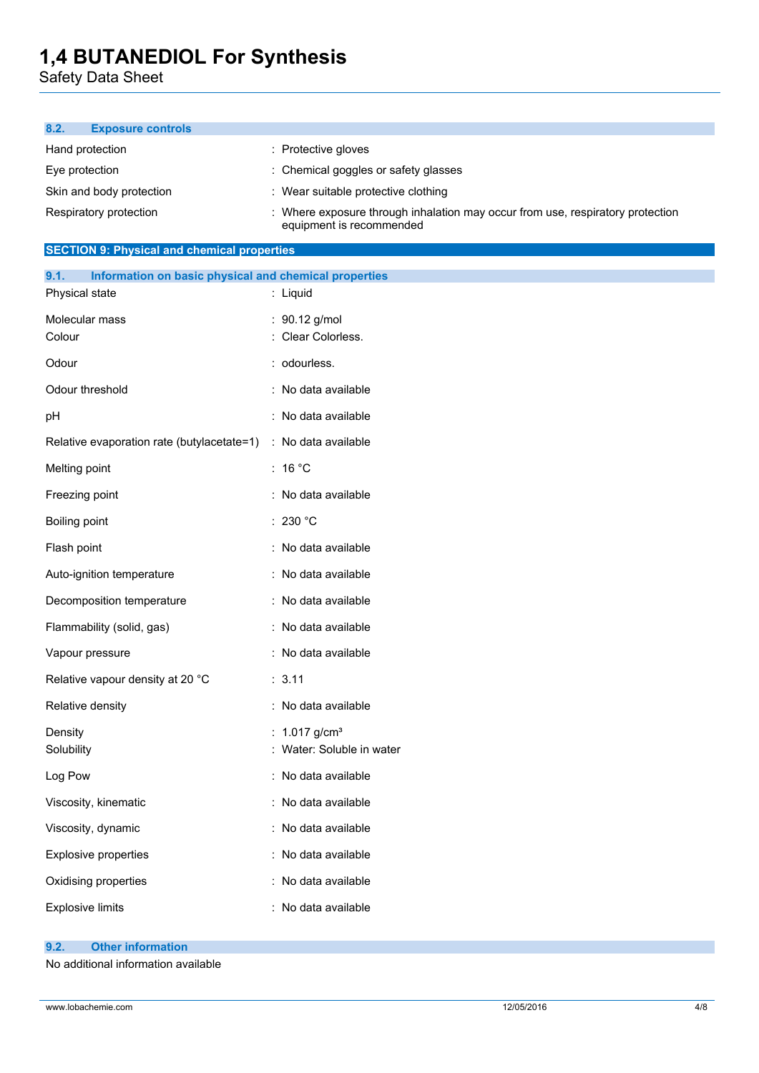Safety Data Sheet

| 8.2.<br><b>Exposure controls</b> |                                                                                                            |
|----------------------------------|------------------------------------------------------------------------------------------------------------|
| Hand protection                  | $:$ Protective gloves                                                                                      |
| Eye protection                   | : Chemical goggles or safety glasses                                                                       |
| Skin and body protection         | : Wear suitable protective clothing                                                                        |
| Respiratory protection           | : Where exposure through inhalation may occur from use, respiratory protection<br>equipment is recommended |

### **SECTION 9: Physical and chemical properties**

| 9.1.<br>Information on basic physical and chemical properties |                                                          |
|---------------------------------------------------------------|----------------------------------------------------------|
| Physical state                                                | : Liquid                                                 |
| Molecular mass<br>Colour                                      | : 90.12 g/mol<br>: Clear Colorless.                      |
| Odour                                                         | : odourless.                                             |
| Odour threshold                                               | : No data available                                      |
| pH                                                            | : No data available                                      |
| Relative evaporation rate (butylacetate=1)                    | : No data available                                      |
| Melting point                                                 | : 16 °C                                                  |
| Freezing point                                                | : No data available                                      |
| Boiling point                                                 | : 230 °C                                                 |
| Flash point                                                   | : No data available                                      |
| Auto-ignition temperature                                     | : No data available                                      |
| Decomposition temperature                                     | : No data available                                      |
| Flammability (solid, gas)                                     | : No data available                                      |
| Vapour pressure                                               | : No data available                                      |
| Relative vapour density at 20 °C                              | : 3.11                                                   |
| Relative density                                              | : No data available                                      |
| Density<br>Solubility                                         | : $1.017$ g/cm <sup>3</sup><br>: Water: Soluble in water |
| Log Pow                                                       | : No data available                                      |
| Viscosity, kinematic                                          | : No data available                                      |
| Viscosity, dynamic                                            | : No data available                                      |
| Explosive properties                                          | : No data available                                      |
| Oxidising properties                                          | : No data available                                      |
| <b>Explosive limits</b>                                       | : No data available                                      |

#### **9.2. Other information**

No additional information available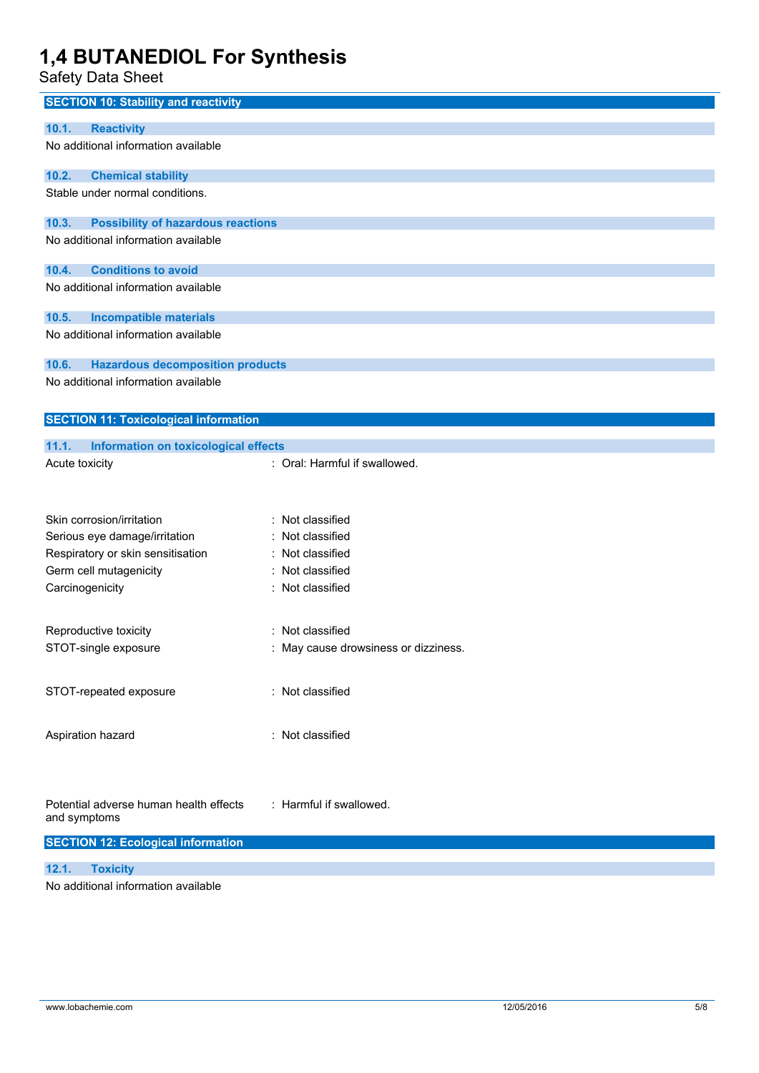Safety Data Sheet

| <b>SECTION 10: Stability and reactivity</b>            |                                      |
|--------------------------------------------------------|--------------------------------------|
| <b>Reactivity</b><br>10.1.                             |                                      |
| No additional information available                    |                                      |
| <b>Chemical stability</b><br>10.2.                     |                                      |
| Stable under normal conditions.                        |                                      |
| 10.3.<br><b>Possibility of hazardous reactions</b>     |                                      |
| No additional information available                    |                                      |
| <b>Conditions to avoid</b><br>10.4.                    |                                      |
| No additional information available                    |                                      |
|                                                        |                                      |
| 10.5.<br><b>Incompatible materials</b>                 |                                      |
| No additional information available                    |                                      |
| 10.6.<br><b>Hazardous decomposition products</b>       |                                      |
| No additional information available                    |                                      |
|                                                        |                                      |
| <b>SECTION 11: Toxicological information</b>           |                                      |
| Information on toxicological effects<br>11.1.          |                                      |
| Acute toxicity                                         | : Oral: Harmful if swallowed.        |
|                                                        |                                      |
| Skin corrosion/irritation                              | : Not classified                     |
| Serious eye damage/irritation                          | : Not classified                     |
| Respiratory or skin sensitisation                      | Not classified<br>÷                  |
| Germ cell mutagenicity                                 | : Not classified                     |
| Carcinogenicity                                        | : Not classified                     |
|                                                        |                                      |
| Reproductive toxicity                                  | : Not classified                     |
| STOT-single exposure                                   | : May cause drowsiness or dizziness. |
|                                                        |                                      |
| STOT-repeated exposure                                 | : Not classified                     |
|                                                        |                                      |
| Aspiration hazard                                      | : Not classified                     |
|                                                        |                                      |
|                                                        |                                      |
|                                                        |                                      |
| Potential adverse human health effects<br>and symptoms | : Harmful if swallowed.              |
|                                                        |                                      |
| <b>SECTION 12: Ecological information</b>              |                                      |
| <b>Toxicity</b><br>12.1.                               |                                      |
| No additional information available                    |                                      |
|                                                        |                                      |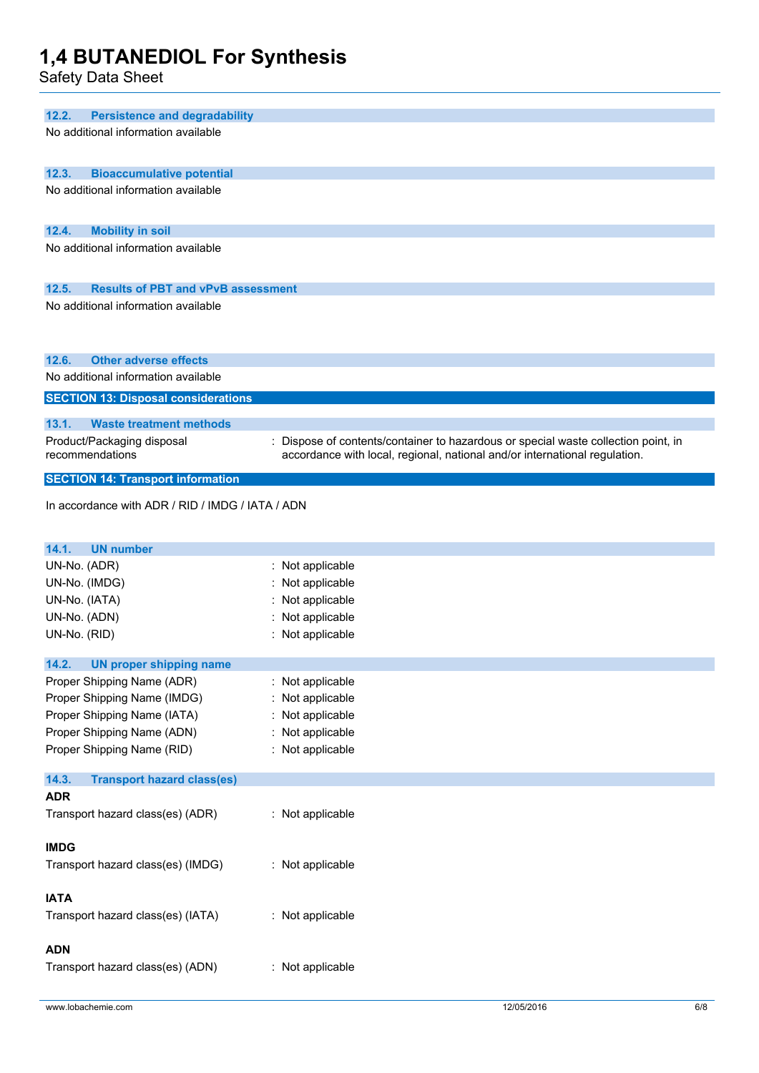Safety Data Sheet

| 12.2.<br><b>Persistence and degradability</b>             |                                                                                                                                                                |
|-----------------------------------------------------------|----------------------------------------------------------------------------------------------------------------------------------------------------------------|
| No additional information available                       |                                                                                                                                                                |
| 12.3.<br><b>Bioaccumulative potential</b>                 |                                                                                                                                                                |
| No additional information available                       |                                                                                                                                                                |
| 12.4.<br><b>Mobility in soil</b>                          |                                                                                                                                                                |
| No additional information available                       |                                                                                                                                                                |
| 12.5.<br><b>Results of PBT and vPvB assessment</b>        |                                                                                                                                                                |
| No additional information available                       |                                                                                                                                                                |
| 12.6.<br><b>Other adverse effects</b>                     |                                                                                                                                                                |
| No additional information available                       |                                                                                                                                                                |
| <b>SECTION 13: Disposal considerations</b>                |                                                                                                                                                                |
| 13.1.<br><b>Waste treatment methods</b>                   |                                                                                                                                                                |
| Product/Packaging disposal<br>recommendations             | Dispose of contents/container to hazardous or special waste collection point, in<br>accordance with local, regional, national and/or international regulation. |
| <b>SECTION 14: Transport information</b>                  |                                                                                                                                                                |
| In accordance with ADR / RID / IMDG / IATA / ADN          |                                                                                                                                                                |
| 14.1.<br><b>UN number</b>                                 |                                                                                                                                                                |
| UN-No. (ADR)                                              | Not applicable<br>÷                                                                                                                                            |
| UN-No. (IMDG)                                             | Not applicable                                                                                                                                                 |
| UN-No. (IATA)                                             | Not applicable                                                                                                                                                 |
| UN-No. (ADN)                                              | Not applicable                                                                                                                                                 |
| UN-No. (RID)                                              | Not applicable                                                                                                                                                 |
| 14.2.<br><b>UN proper shipping name</b>                   |                                                                                                                                                                |
| Proper Shipping Name (ADR)<br>Proper Shipping Name (IMDG) | : Not applicable<br>: Not applicable                                                                                                                           |
| Proper Shipping Name (IATA)                               | Not applicable                                                                                                                                                 |
| Proper Shipping Name (ADN)                                | Not applicable                                                                                                                                                 |
| Proper Shipping Name (RID)                                | : Not applicable                                                                                                                                               |
| 14.3.<br><b>Transport hazard class(es)</b>                |                                                                                                                                                                |
| <b>ADR</b>                                                |                                                                                                                                                                |
| Transport hazard class(es) (ADR)                          | : Not applicable                                                                                                                                               |
| <b>IMDG</b>                                               |                                                                                                                                                                |
| Transport hazard class(es) (IMDG)                         | : Not applicable                                                                                                                                               |
| <b>IATA</b>                                               |                                                                                                                                                                |
| Transport hazard class(es) (IATA)                         | : Not applicable                                                                                                                                               |
| <b>ADN</b>                                                |                                                                                                                                                                |
| Transport hazard class(es) (ADN)                          | : Not applicable                                                                                                                                               |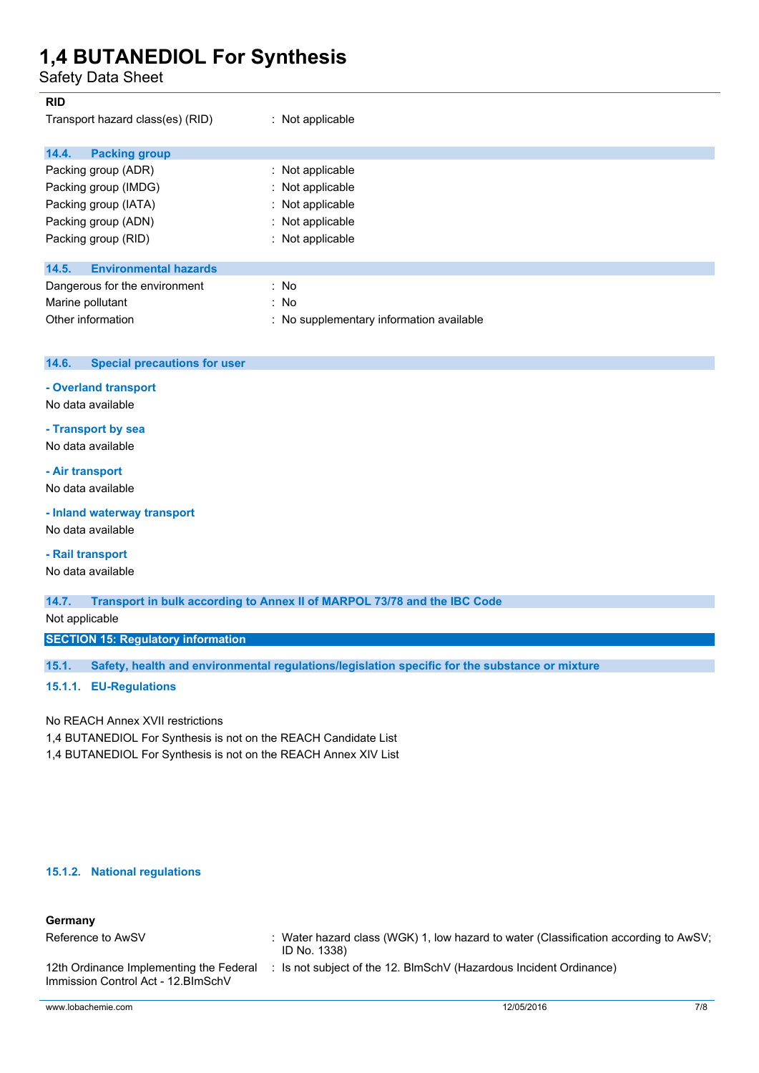Safety Data Sheet

| <b>RID</b>                            |                                          |
|---------------------------------------|------------------------------------------|
| Transport hazard class(es) (RID)      | $:$ Not applicable                       |
| 14.4.<br><b>Packing group</b>         |                                          |
| Packing group (ADR)                   | : Not applicable                         |
| Packing group (IMDG)                  | : Not applicable                         |
| Packing group (IATA)                  | : Not applicable                         |
| Packing group (ADN)                   | : Not applicable                         |
| Packing group (RID)                   | : Not applicable                         |
| <b>Environmental hazards</b><br>14.5. |                                          |
| Dangerous for the environment         | : No                                     |
| Marine pollutant                      | : No                                     |
| Other information                     | : No supplementary information available |

| Special precautions for user<br>14.6. |
|---------------------------------------|
|---------------------------------------|

#### **- Overland transport**

No data available

### **- Transport by sea**

No data available

### **- Air transport**

No data available

### **- Inland waterway transport**

No data available

### **- Rail transport**

No data available

**14.7. Transport in bulk according to Annex II of MARPOL 73/78 and the IBC Code**

Not applicable

**SECTION 15: Regulatory information**

**15.1. Safety, health and environmental regulations/legislation specific for the substance or mixture**

### **15.1.1. EU-Regulations**

No REACH Annex XVII restrictions

1,4 BUTANEDIOL For Synthesis is not on the REACH Candidate List

1,4 BUTANEDIOL For Synthesis is not on the REACH Annex XIV List

### **15.1.2. National regulations**

### **Germany**

| Reference to AwSV                                                              | : Water hazard class (WGK) 1, low hazard to water (Classification according to AwSV;<br>ID No. 1338) |     |
|--------------------------------------------------------------------------------|------------------------------------------------------------------------------------------------------|-----|
| 12th Ordinance Implementing the Federal<br>Immission Control Act - 12. BlmSchV | : Is not subject of the 12. BlmSchV (Hazardous Incident Ordinance)                                   |     |
| www.lobachemie.com                                                             | 12/05/2016                                                                                           | 7/8 |